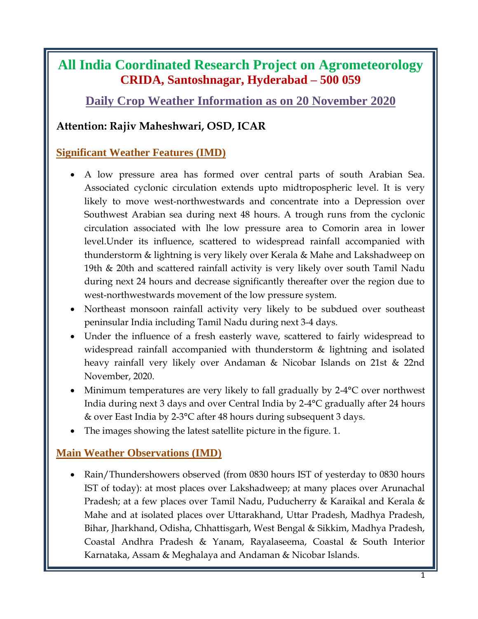## **All India Coordinated Research Project on Agrometeorology CRIDA, Santoshnagar, Hyderabad – 500 059**

**Daily Crop Weather Information as on 20 November 2020**

## **Attention: Rajiv Maheshwari, OSD, ICAR**

### **Significant Weather Features (IMD)**

- A low pressure area has formed over central parts of south Arabian Sea. Associated cyclonic circulation extends upto midtropospheric level. It is very likely to move west-northwestwards and concentrate into a Depression over Southwest Arabian sea during next 48 hours. A trough runs from the cyclonic circulation associated with lhe low pressure area to Comorin area in lower level.Under its influence, scattered to widespread rainfall accompanied with thunderstorm & lightning is very likely over Kerala & Mahe and Lakshadweep on 19th & 20th and scattered rainfall activity is very likely over south Tamil Nadu during next 24 hours and decrease significantly thereafter over the region due to west-northwestwards movement of the low pressure system.
- Northeast monsoon rainfall activity very likely to be subdued over southeast peninsular India including Tamil Nadu during next 3-4 days.
- Under the influence of a fresh easterly wave, scattered to fairly widespread to widespread rainfall accompanied with thunderstorm & lightning and isolated heavy rainfall very likely over Andaman & Nicobar Islands on 21st & 22nd November, 2020.
- Minimum temperatures are very likely to fall gradually by 2-4°C over northwest India during next 3 days and over Central India by 2-4°C gradually after 24 hours & over East India by 2-3°C after 48 hours during subsequent 3 days.
- The images showing the latest satellite picture in the figure. 1.

### **Main Weather Observations (IMD)**

• Rain/Thundershowers observed (from 0830 hours IST of yesterday to 0830 hours IST of today): at most places over Lakshadweep; at many places over Arunachal Pradesh; at a few places over Tamil Nadu, Puducherry & Karaikal and Kerala & Mahe and at isolated places over Uttarakhand, Uttar Pradesh, Madhya Pradesh, Bihar, Jharkhand, Odisha, Chhattisgarh, West Bengal & Sikkim, Madhya Pradesh, Coastal Andhra Pradesh & Yanam, Rayalaseema, Coastal & South Interior Karnataka, Assam & Meghalaya and Andaman & Nicobar Islands.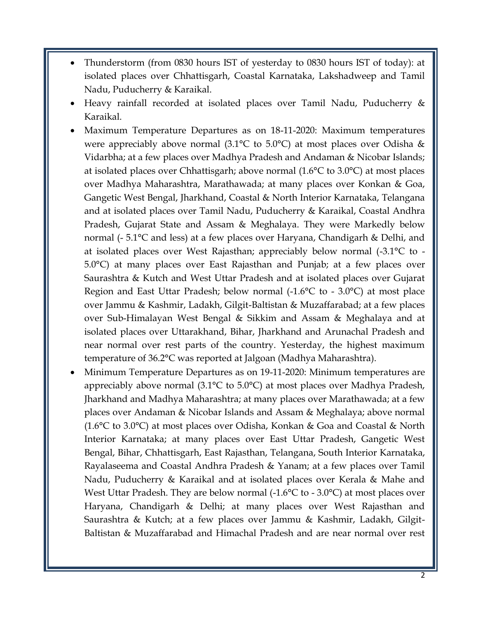- Thunderstorm (from 0830 hours IST of yesterday to 0830 hours IST of today): at isolated places over Chhattisgarh, Coastal Karnataka, Lakshadweep and Tamil Nadu, Puducherry & Karaikal.
- Heavy rainfall recorded at isolated places over Tamil Nadu, Puducherry & Karaikal.
- Maximum Temperature Departures as on 18-11-2020: Maximum temperatures were appreciably above normal (3.1°C to 5.0°C) at most places over Odisha & Vidarbha; at a few places over Madhya Pradesh and Andaman & Nicobar Islands; at isolated places over Chhattisgarh; above normal (1.6°C to 3.0°C) at most places over Madhya Maharashtra, Marathawada; at many places over Konkan & Goa, Gangetic West Bengal, Jharkhand, Coastal & North Interior Karnataka, Telangana and at isolated places over Tamil Nadu, Puducherry & Karaikal, Coastal Andhra Pradesh, Gujarat State and Assam & Meghalaya. They were Markedly below normal (- 5.1°C and less) at a few places over Haryana, Chandigarh & Delhi, and at isolated places over West Rajasthan; appreciably below normal (-3.1°C to - 5.0°C) at many places over East Rajasthan and Punjab; at a few places over Saurashtra & Kutch and West Uttar Pradesh and at isolated places over Gujarat Region and East Uttar Pradesh; below normal  $(-1.6^{\circ}C)$  to  $-3.0^{\circ}C$  at most place over Jammu & Kashmir, Ladakh, Gilgit-Baltistan & Muzaffarabad; at a few places over Sub-Himalayan West Bengal & Sikkim and Assam & Meghalaya and at isolated places over Uttarakhand, Bihar, Jharkhand and Arunachal Pradesh and near normal over rest parts of the country. Yesterday, the highest maximum temperature of 36.2°C was reported at Jalgoan (Madhya Maharashtra).
- Minimum Temperature Departures as on 19-11-2020: Minimum temperatures are appreciably above normal (3.1°C to 5.0°C) at most places over Madhya Pradesh, Jharkhand and Madhya Maharashtra; at many places over Marathawada; at a few places over Andaman & Nicobar Islands and Assam & Meghalaya; above normal (1.6°C to 3.0°C) at most places over Odisha, Konkan & Goa and Coastal & North Interior Karnataka; at many places over East Uttar Pradesh, Gangetic West Bengal, Bihar, Chhattisgarh, East Rajasthan, Telangana, South Interior Karnataka, Rayalaseema and Coastal Andhra Pradesh & Yanam; at a few places over Tamil Nadu, Puducherry & Karaikal and at isolated places over Kerala & Mahe and West Uttar Pradesh. They are below normal  $(-1.6^{\circ}\text{C})$  to  $-3.0^{\circ}\text{C}$ ) at most places over Haryana, Chandigarh & Delhi; at many places over West Rajasthan and Saurashtra & Kutch; at a few places over Jammu & Kashmir, Ladakh, Gilgit-Baltistan & Muzaffarabad and Himachal Pradesh and are near normal over rest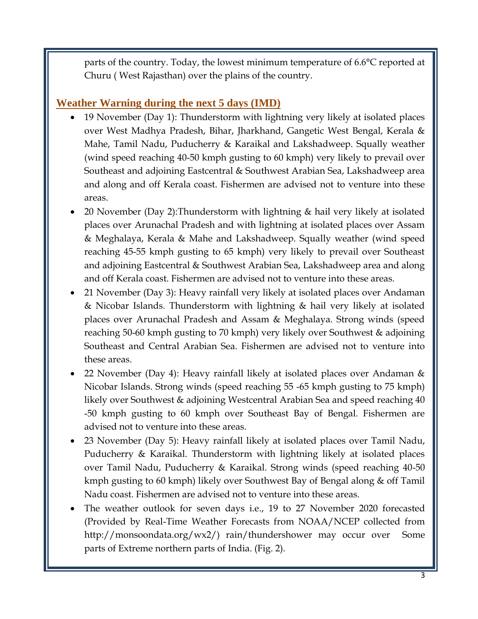parts of the country. Today, the lowest minimum temperature of 6.6°C reported at Churu ( West Rajasthan) over the plains of the country.

### **Weather Warning during the next 5 days (IMD)**

- 19 November (Day 1): Thunderstorm with lightning very likely at isolated places over West Madhya Pradesh, Bihar, Jharkhand, Gangetic West Bengal, Kerala & Mahe, Tamil Nadu, Puducherry & Karaikal and Lakshadweep. Squally weather (wind speed reaching 40-50 kmph gusting to 60 kmph) very likely to prevail over Southeast and adjoining Eastcentral & Southwest Arabian Sea, Lakshadweep area and along and off Kerala coast. Fishermen are advised not to venture into these areas.
- 20 November (Day 2): Thunderstorm with lightning & hail very likely at isolated places over Arunachal Pradesh and with lightning at isolated places over Assam & Meghalaya, Kerala & Mahe and Lakshadweep. Squally weather (wind speed reaching 45-55 kmph gusting to 65 kmph) very likely to prevail over Southeast and adjoining Eastcentral & Southwest Arabian Sea, Lakshadweep area and along and off Kerala coast. Fishermen are advised not to venture into these areas.
- 21 November (Day 3): Heavy rainfall very likely at isolated places over Andaman & Nicobar Islands. Thunderstorm with lightning & hail very likely at isolated places over Arunachal Pradesh and Assam & Meghalaya. Strong winds (speed reaching 50-60 kmph gusting to 70 kmph) very likely over Southwest & adjoining Southeast and Central Arabian Sea. Fishermen are advised not to venture into these areas.
- 22 November (Day 4): Heavy rainfall likely at isolated places over Andaman & Nicobar Islands. Strong winds (speed reaching 55 -65 kmph gusting to 75 kmph) likely over Southwest & adjoining Westcentral Arabian Sea and speed reaching 40 -50 kmph gusting to 60 kmph over Southeast Bay of Bengal. Fishermen are advised not to venture into these areas.
- 23 November (Day 5): Heavy rainfall likely at isolated places over Tamil Nadu, Puducherry & Karaikal. Thunderstorm with lightning likely at isolated places over Tamil Nadu, Puducherry & Karaikal. Strong winds (speed reaching 40-50 kmph gusting to 60 kmph) likely over Southwest Bay of Bengal along & off Tamil Nadu coast. Fishermen are advised not to venture into these areas.
- The weather outlook for seven days i.e., 19 to 27 November 2020 forecasted (Provided by Real-Time Weather Forecasts from NOAA/NCEP collected from http://monsoondata.org/wx2/) rain/thundershower may occur over Some parts of Extreme northern parts of India. (Fig. 2).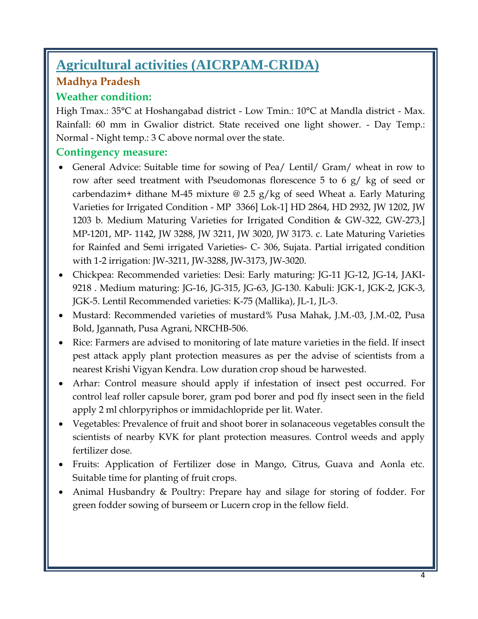# **Agricultural activities (AICRPAM-CRIDA)**

## **Madhya Pradesh**

## **Weather condition:**

High Tmax.: 35°C at Hoshangabad district - Low Tmin.: 10°C at Mandla district - Max. Rainfall: 60 mm in Gwalior district. State received one light shower. - Day Temp.: Normal - Night temp.: 3 C above normal over the state.

### **Contingency measure:**

- General Advice: Suitable time for sowing of Pea/ Lentil/ Gram/ wheat in row to row after seed treatment with Pseudomonas florescence 5 to 6 g/ kg of seed or carbendazim+ dithane M-45 mixture @ 2.5 g/kg of seed Wheat a. Early Maturing Varieties for Irrigated Condition - MP 3366] Lok-1] HD 2864, HD 2932, JW 1202, JW 1203 b. Medium Maturing Varieties for Irrigated Condition & GW-322, GW-273,] MP-1201, MP- 1142, JW 3288, JW 3211, JW 3020, JW 3173. c. Late Maturing Varieties for Rainfed and Semi irrigated Varieties- C- 306, Sujata. Partial irrigated condition with 1-2 irrigation: JW-3211, JW-3288, JW-3173, JW-3020.
- Chickpea: Recommended varieties: Desi: Early maturing: JG-11 JG-12, JG-14, JAKI-9218 . Medium maturing: JG-16, JG-315, JG-63, JG-130. Kabuli: JGK-1, JGK-2, JGK-3, JGK-5. Lentil Recommended varieties: K-75 (Mallika), JL-1, JL-3.
- Mustard: Recommended varieties of mustard% Pusa Mahak, J.M.-03, J.M.-02, Pusa Bold, Jgannath, Pusa Agrani, NRCHB-506.
- Rice: Farmers are advised to monitoring of late mature varieties in the field. If insect pest attack apply plant protection measures as per the advise of scientists from a nearest Krishi Vigyan Kendra. Low duration crop shoud be harwested.
- Arhar: Control measure should apply if infestation of insect pest occurred. For control leaf roller capsule borer, gram pod borer and pod fly insect seen in the field apply 2 ml chlorpyriphos or immidachlopride per lit. Water.
- Vegetables: Prevalence of fruit and shoot borer in solanaceous vegetables consult the scientists of nearby KVK for plant protection measures. Control weeds and apply fertilizer dose.
- Fruits: Application of Fertilizer dose in Mango, Citrus, Guava and Aonla etc. Suitable time for planting of fruit crops.
- Animal Husbandry & Poultry: Prepare hay and silage for storing of fodder. For green fodder sowing of burseem or Lucern crop in the fellow field.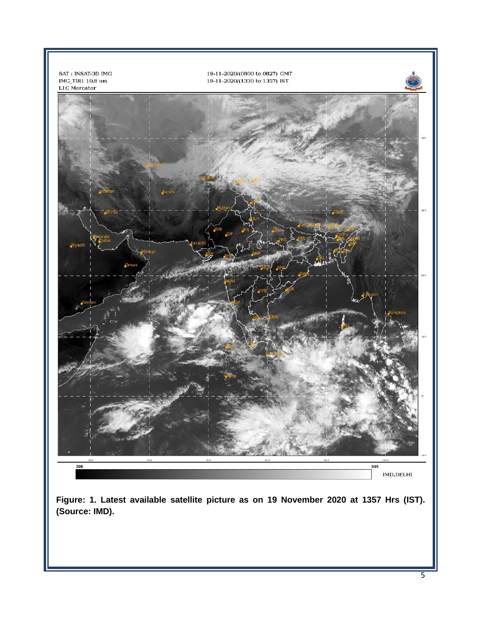

**(Source: IMD).**